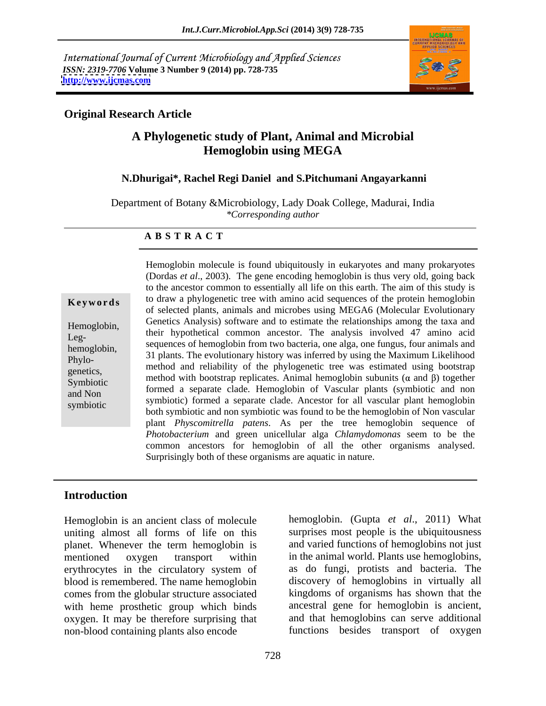International Journal of Current Microbiology and Applied Sciences *ISSN: 2319-7706* **Volume 3 Number 9 (2014) pp. 728-735 <http://www.ijcmas.com>**



### **Original Research Article**

# **A Phylogenetic study of Plant, Animal and Microbial Hemoglobin using MEGA**

#### **N.Dhurigai\*, Rachel Regi Daniel and S.Pitchumani Angayarkanni**

Department of Botany &Microbiology, Lady Doak College, Madurai, India *\*Corresponding author* 

#### **A B S T R A C T**

**Keywords** to draw a phylogenetic tree with amino acid sequences of the protein hemoglobin Hemoglobin, Genetics Analysis) software and to estimate the relationships among the taxa and Leg-<br>hemoglobin sequences of hemoglobin from two bacteria, one alga, one fungus, four animals and hemoglobin,<br>
31 plants. The evolutionary history was inferred by using the Maximum Likelihood Phylo-<br>method and reliability of the phylogenetic tree was estimated using bootstrap genetics, he include and remaining of the phylogenetic tree was estimated using bootstrap Symbiotic method with bootstrap replicates. Animal hemoglobin subunits  $(\alpha$  and  $\beta)$  together Symbiotic and Non and ionined a separate clade. The independence of vascular plants (symbootic and non<br>symbiotic) formed a separate clade. Ancestor for all vascular plant hemoglobin symbiotic<br>both symbiotic and non symbiotic was found to be the hemoglobin of Non vascular Hemoglobin molecule is found ubiquitously in eukaryotes and many prokaryotes (Dordas *et al*., 2003). The gene encoding hemoglobin is thus very old, going back to the ancestor common to essentially all life on this earth. The aim of this study is of selected plants, animals and microbes using MEGA6 (Molecular Evolutionary their hypothetical common ancestor. The analysis involved 47 amino acid formed a separate clade. Hemoglobin of Vascular plants (symbiotic and non plant *Physcomitrella patens*. As per the tree hemoglobin sequence of *Photobacterium* and green unicellular alga *Chlamydomonas* seem to be the common ancestors for hemoglobin of all the other organisms analysed. Surprisingly both of these organisms are aquatic in nature.

#### **Introduction**

Hemoglobin is an ancient class of molecule uniting almost all forms of life on this planet. Whenever the term hemoglobin is and varied functions of hemoglobins not just mentioned oxygen transport within in the animal world. Plants use hemoglobins, erythrocytes in the circulatory system of blood is remembered. The name hemoglobin comes from the globular structure associated with heme prosthetic group which binds oxygen. It may be therefore surprising that non-blood containing plants also encode

hemoglobin. (Gupta *et al*., 2011) What surprises most people is the ubiquitousness as do fungi, protists and bacteria. The discovery of hemoglobins in virtually all kingdoms of organisms has shown that the ancestral gene for hemoglobin is ancient, and that hemoglobins can serve additional functions besides transport of oxygen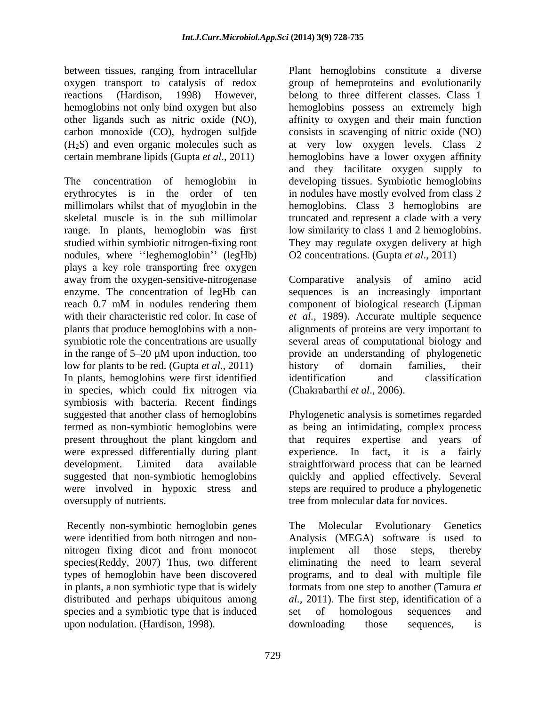between tissues, ranging from intracellular Plant hemoglobins constitute a diverse

The concentration of hemoglobin in developing tissues. Symbiotic hemoglobins erythrocytes is in the order of ten in nodules have mostly evolved from class 2 millimolars whilst that of myoglobin in the hemoglobins. Class 3 hemoglobins are skeletal muscle is in the sub millimolar truncated and represent a clade with a very range. In plants, hemoglobin was first low similarity to class 1 and 2 hemoglobins. studied within symbiotic nitrogen-fixing root nodules, where "leghemoglobin" (legHb) plays a key role transporting free oxygen away from the oxygen-sensitive-nitrogenase Comparative enzyme. The concentration of legHb can sequences is an increasingly important reach 0.7 mM in nodules rendering them component of biological research (Lipman with their characteristic red color. In case of *et al.,* 1989). Accurate multiple sequence plants that produce hemoglobins with a non-<br>alignments of proteins are very important to symbiotic role the concentrations are usually several areas of computational biology and in the range of 5 20 µM upon induction, too provide an understanding of phylogenetic low for plants to be red. (Gupta *et al.*, 2011) history of domain families, their In plants, hemoglobins were first identified identification and classification in species, which could fix nitrogen via symbiosis with bacteria. Recent findings suggested that another class of hemoglobins Phylogenetic analysis is sometimes regarded termed as non-symbiotic hemoglobins were as being an intimidating, complex process present throughout the plant kingdom and that requires expertise and years of were expressed differentially during plant experience. In fact, it is a fairly development. Limited data available straightforward process that can be learned suggested that non-symbiotic hemoglobins quickly and applied effectively. Several were involved in hypoxic stress and oversupply of nutrients. tree from molecular data for novices.

Recently non-symbiotic hemoglobin genes The Molecular Evolutionary Genetics species(Reddy, 2007) Thus, two different species and a symbiotic type that is induced set of homologous sequences and upon nodulation. (Hardison, 1998).

oxygen transport to catalysis of redox group of hemeproteins and evolutionarily reactions (Hardison, 1998) However, belong to three different classes. Class 1 hemoglobins not only bind oxygen but also hemoglobins possessan extremely high other ligands such as nitric oxide (NO), affinity to oxygen and their main function carbon monoxide (CO), hydrogen sulfide consists in scavenging of nitric oxide (NO) (H2S) and even organic molecules such as at very low oxygen levels. Class 2 certain membrane lipids (Gupta *et al.*, 2011) hemoglobins have a lower oxygen affinity and they facilitate oxygen supply to They may regulate oxygen delivery at high O2 concentrations. (Gupta *et al*., 2011)

> analysis of amino acid history of domain families, their identification and classification (Chakrabarthi *et al*., 2006).

steps are required to produce a phylogenetic

were identified from both nitrogen and non- Analysis (MEGA) software is used to nitrogen fixing dicot and from monocot types of hemoglobin have been discovered programs, and to deal with multiple file in plants, a non symbiotic type that is widely formats from one step to another (Tamura *et*  distributed and perhaps ubiquitous among *al.,* 2011). The first step, identification of a The Molecular Evolutionary Genetics implement all those steps, thereby eliminating the need to learn several set of homologous sequences and downloading those sequences, is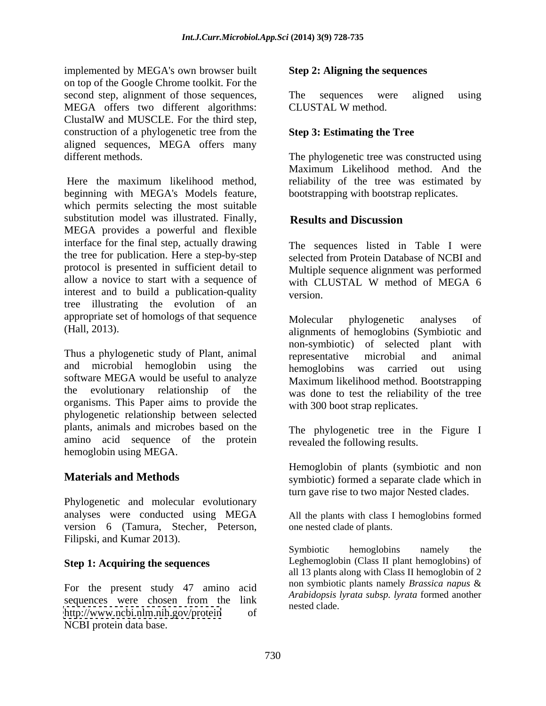implemented by MEGA's own browser built on top of the Google Chrome toolkit. For the second step, alignment of those sequences, The sequences were aligned using MEGA offers two different algorithms: ClustalW and MUSCLE. For the third step, construction of a phylogenetic tree from the aligned sequences, MEGA offers many

beginning with MEGA's Models feature, which permits selecting the most suitable substitution model was illustrated. Finally, **Results and Discussion** MEGA provides a powerful and flexible interface for the final step, actually drawing the tree for publication. Here a step-by-step protocol is presented in sufficient detail to allow a novice to start with a sequence of with CLUSTAL W method of MEGA 6 interest and to build a publication-quality version tree illustrating the evolution of an appropriate set of homologs of that sequence Molecular phylogenetic analyses of

Thus a phylogenetic study of Plant, animal representative microbial and animal and microbial hemoglobin using the **hemoglobins** was carried out using software MEGA would be useful to analyze the evolutionary relationship of the was done to test the reliability of the tree organisms. This Paper aims to provide the phylogenetic relationship between selected plants, animals and microbes based on the amino acid sequence of the protein hemoglobin using MEGA.

Phylogenetic and molecular evolutionary analyses were conducted using MEGA All the plants with class I hemoglobins formed version 6 (Tamura, Stecher, Peterson, Filipski, and Kumar 2013).<br>Symbiotic hemoglobins

## **Step 1: Acquiring the sequences**

For the present study 47 amino acid <http://www.ncbi.nlm.nih.gov/protein> of NCBI protein data base.

#### **Step 2: Aligning the sequences**

The sequences were aligned using CLUSTAL W method.

### **Step 3: Estimating the Tree**

different methods. The phylogenetic tree was constructed using Here the maximum likelihood method, reliability of the tree was estimated by Maximum Likelihood method. And the bootstrapping with bootstrap replicates.

## **Results and Discussion**

The sequences listed in Table I were selected from Protein Database of NCBI and Multiple sequence alignment was performed with CLUSTAL W method of MEGA 6 version.

(Hall, 2013). alignments of hemoglobins (Symbiotic and Molecular phylogenetic analyses of non-symbiotic) of selected plant with representative microbial and animal hemoglobins was carried out Maximum likelihood method. Bootstrapping with 300 boot strap replicates.

> The phylogenetic tree in the Figure I revealed the following results.

**Materials and Methods** symbiotic) formed a separate clade which in Hemoglobin of plants (symbiotic and non turn gave rise to two major Nested clades.

one nested clade of plants.

sequences were chosen from the link  $\frac{A_1}{B_2}$  regreted close. The subspective integration of the sequences Symbiotic hemoglobins namely the Leghemoglobin (Class II plant hemoglobins) of all 13 plants along with Class II hemoglobin of 2 non symbiotic plants namely *Brassica napus* & *Arabidopsis lyrata subsp. lyrata* formed another nested clade.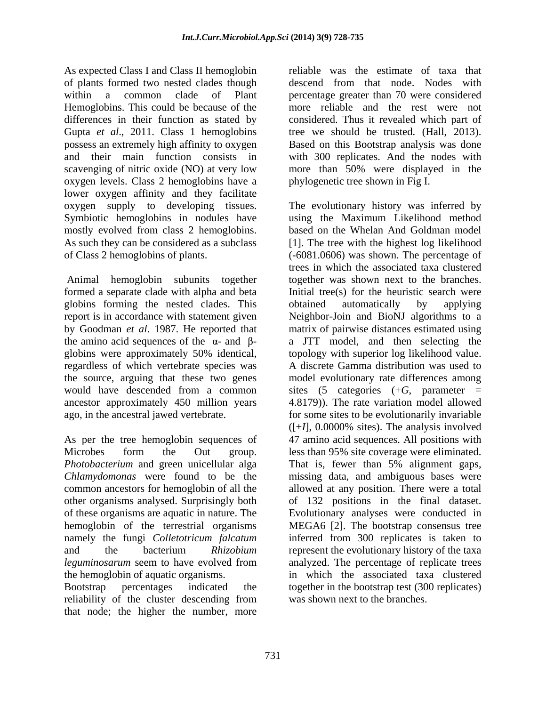of plants formed two nested clades though differences in their function as stated by Gupta *et al.*, 2011. Class 1 hemoglobins tree we should be trusted. (Hall, 2013). possess an extremely high affinity to oxygen oxygen levels. Class 2 hemoglobins have a lower oxygen affinity and they facilitate mostly evolved from class 2 hemoglobins.

globins forming the nested clades. This

As per the tree hemoglobin sequences of hemoglobin of the terrestrial organisms

reliability of the cluster descending from was shown next to the branches. that node; the higher the number, more

As expected Class I and Class II hemoglobin reliable was the estimate of taxa that within a common clade of Plant percentage greater than 70 were considered Hemoglobins. This could be because of the more reliable and the rest were not and their main function consists in with 300 replicates. And the nodes with scavenging of nitric oxide (NO) at very low more than 50% were displayed in the descend from that node. Nodes with considered. Thus it revealed which part of tree we should be trusted. (Hall, 2013). Based on this Bootstrap analysis was done phylogenetic tree shown in Fig I.

oxygen supply to developing tissues. The evolutionary history was inferred by Symbiotic hemoglobins in nodules have using the Maximum Likelihood method As such they can be considered as a subclass [1]. The tree with the highest log likelihood of Class 2 hemoglobins of plants. (-6081.0606) was shown. The percentage of Animal hemoglobin subunits together together was shown next to the branches. formed a separate clade with alpha and beta Initial tree(s) for the heuristic search were report is in accordance with statement given Neighbor-Join and BioNJ algorithms to a by Goodman *et al*. 1987. He reported that matrix of pairwise distances estimated using the amino acid sequences of the  $\alpha$ - and  $\beta$ - a JTT model, and then selecting the globins were approximately 50% identical, topology with superior log likelihood value. regardless of which vertebrate species was A discrete Gamma distribution was used to the source, arguing that these two genes model evolutionary rate differences among would have descended from a common sites (5 categories (+*G*, parameter = ancestor approximately 450 million years 4.8179)). The rate variation model allowed ago, in the ancestral jawed vertebrate. for some sites to be evolutionarily invariable Microbes form the Out group. less than 95% site coverage were eliminated. *Photobacterium* and green unicellular alga That is, fewer than 5% alignment gaps, *Chlamydomonas* were found to be the missing data, and ambiguous bases were common ancestors for hemoglobin of all the allowed at any position. There were a total other organisms analysed. Surprisingly both of 132 positions in the final dataset. of these organisms are aquatic in nature. The Evolutionary analyses were conducted in namely the fungi *Colletotricum falcatum* inferred from 300 replicates is taken to and the bacterium *Rhizobium*  represent the evolutionary history of the taxa *leguminosarum* seem to have evolved from analyzed. The percentage of replicate trees the hemoglobin of aquatic organisms. The which the associated taxaclustered Bootstrap percentages indicated the together in the bootstrap test (300 replicates) based on the Whelan And Goldman model trees in which the associated taxa clustered obtained automatically by applying  $([-1]$ , 0.0000% sites). The analysis involved 47 amino acid sequences. All positions with MEGA6 [2]. The bootstrap consensus tree was shown next to the branches.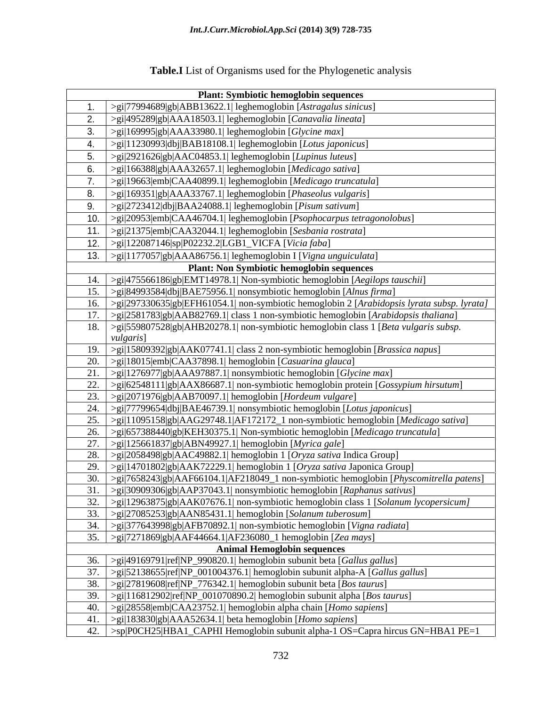|     | <b>Plant: Symbiotic hemoglobin sequences</b>                                                                          |
|-----|-----------------------------------------------------------------------------------------------------------------------|
|     | >gi 77994689 gb ABB13622.1  leghemoglobin [Astragalus sinicus]                                                        |
| 2.  | >gi 495289 gb AAA18503.1  leghemoglobin [Canavalia lineata]                                                           |
| 3.  | $>$ gi 169995 gb AAA33980.1  leghemoglobin [Glycine max]                                                              |
| 4.  | >gi 11230993 dbj BAB18108.1  leghemoglobin [Lotus japonicus]                                                          |
| 5.  | >gi 2921626 gb AAC04853.1  leghemoglobin [Lupinus luteus]                                                             |
| 6.  | >gi 166388 gb AAA32657.1  leghemoglobin [Medicago sativa]                                                             |
|     | >gi 19663 emb CAA40899.1  leghemoglobin [Medicago truncatula]                                                         |
| 8.  | >gi 169351 gb AAA33767.1  leghemoglobin [Phaseolus vulgaris]                                                          |
| 9.  | >gi 2723412 dbj BAA24088.1  leghemoglobin [Pisum sativum]                                                             |
|     | >gi 20953 emb CAA46704.1  leghemoglobin [Psophocarpus tetragonolobus]                                                 |
| 11. | >gi 21375 emb CAA32044.1  leghemoglobin [Sesbania rostrata]                                                           |
| 12. | $>$ gi 122087146 sp P02232.2 LGB1_VICFA [Vicia faba]                                                                  |
|     | 13. $ >g_i 1177057 gb AAA86756.1 leghemoglobin I[Vigna unguiculata]$                                                  |
|     | <b>Plant: Non Symbiotic hemoglobin sequences</b>                                                                      |
| 14. | >gi 475566186 gb EMT14978.1  Non-symbiotic hemoglobin [Aegilops tauschii]                                             |
| 15. | $>$ gi 84993584 dbj BAE75956.1  nonsymbiotic hemoglobin [Alnus firma]                                                 |
| 16. | >gi 297330635 gb EFH61054.1  non-symbiotic hemoglobin 2 [Arabidopsis lyrata subsp. lyrata]                            |
| 17. | $>$ gi 2581783 gb AAB82769.1  class 1 non-symbiotic hemoglobin [Arabidopsis thaliana]                                 |
| 18. | >gi 559807528 gb AHB20278.1  non-symbiotic hemoglobin class 1 [Beta vulgaris subsp.                                   |
|     | <i>vulgaris</i> ]                                                                                                     |
| 19. | >gi 15809392 gb AAK07741.1  class 2 non-symbiotic hemoglobin [ <i>Brassica napus</i> ]                                |
| 20. | $>$ gi 18015 emb CAA37898.1  hemoglobin [Casuarina glauca]                                                            |
| 21  | $>$ gi 1276977 gb AAA97887.1  nonsymbiotic hemoglobin [Glycine max]                                                   |
|     | >gi 62548111 gb AAX86687.1  non-symbiotic hemoglobin protein [Gossypium hirsutum]                                     |
| 23. | >gi 2071976 gb AAB70097.1  hemoglobin [Hordeum vulgare]                                                               |
| 24. | >gi 77799654 dbj BAE46739.1  nonsymbiotic hemoglobin [Lotus japonicus]                                                |
| 25. | $>$ gi 11095158 gb AAG29748.1 AF172172_1 non-symbiotic hemoglobin [Medicago sativa]                                   |
| 26. | >gi 657388440 gb KEH30375.1  Non-symbiotic hemoglobin [Medicago truncatula]                                           |
| 27. | $>$ gi 125661837 gb ABN49927.1  hemoglobin [Myrica gale]                                                              |
| 28. | $>$ gi 2058498 gb AAC49882.1  hemoglobin 1 [Oryza sativa Indica Group]                                                |
| 29. | >gi 14701802 gb AAK72229.1  hemoglobin 1 [Oryza sativa Japonica Group]                                                |
| 30. | $>$ gi 7658243 gb AAF66104.1 AF218049_1 non-symbiotic hemoglobin [ <i>Physcomitrella patens</i> ]                     |
|     | 31. $\frac{1}{2}$ = 21. $\frac{1}{20909306\text{gb}}[AAP37043.1]$ nonsymbiotic hemoglobin [ <i>Raphanus sativus</i> ] |
|     | >gi 12963875 gb AAK07676.1  non-symbiotic hemoglobin class 1 [Solanum lycopersicum]                                   |
|     | 33. $\left  \right  >$ gi 27085253 gb AAN85431.1  hemoglobin [Solanum tuberosum]                                      |
| 34. | >gi 377643998 gb AFB70892.1  non-symbiotic hemoglobin [Vigna radiata]                                                 |
|     | 35. $ >g_i 7271869 gb AAF44664.1 AF236080_1$ hemoglobin [Zea mays]<br><b>Animal Hemoglobin sequences</b>              |
| 36. | $>$ gi 49169791 ref NP_990820.1  hemoglobin subunit beta [Gallus gallus]                                              |
| 37. | $>$ gi 52138655 ref NP_001004376.1  hemoglobin subunit alpha-A [Gallus gallus]                                        |
| 38. | $>$ gi 27819608 ref NP 776342.1  hemoglobin subunit beta [ <i>Bos taurus</i> ]                                        |
| 39. | $>$ gi 116812902 ref NP_001070890.2  hemoglobin subunit alpha [ <i>Bos taurus</i> ]                                   |
| 40. | $>$ gi 28558 emb CAA23752.1  hemoglobin alpha chain [Homo sapiens]                                                    |
| 41. | $>$ gi 183830 gb AAA52634.1  beta hemoglobin [Homo sapiens]                                                           |
|     | 42. >sp P0CH25 HBA1_CAPHI Hemoglobin subunit alpha-1 OS=Capra hircus GN=HBA1 PE=1                                     |
|     |                                                                                                                       |

# **Table.I** List of Organisms used for the Phylogenetic analysis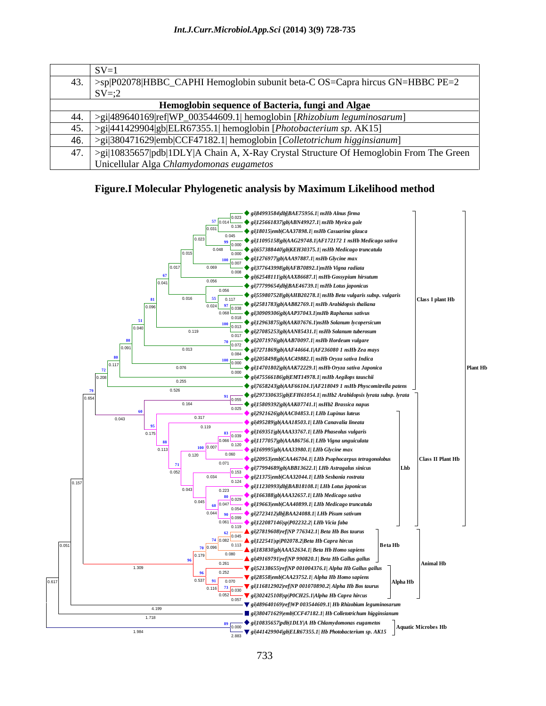| $SV=1$                                                                                                |
|-------------------------------------------------------------------------------------------------------|
| 43. >sp P02078 HBBC_CAPHI Hemoglobin subunit beta-C OS=Capra hircus GN=HBBC PE=2                      |
| $SV = 2$                                                                                              |
| Hemoglobin sequence of Bacteria, fungi and Algae                                                      |
| $\leq$ > $\leq$ > $\leq$  489640169 ref WP_003544609.1  hemoglobin [ <i>Rhizobium leguminosarum</i> ] |
| $ >$ gi 441429904 gb ELR67355.1  hemoglobin [ <i>Photobacterium sp.</i> AK15]                         |
| 46.   >gi 380471629 emb CCF47182.1  hemoglobin [Colletotrichum higginsianum]                          |
| 47. $\vert$ >gi 10835657 pdb 1DLY A Chain A, X-Ray Crystal Structure Of Hemoglobin From The Green     |
| Unicellular Alga Chlamydomonas eugametos                                                              |

### **Figure.I Molecular Phylogenetic analysis by Maximum Likelihood method**

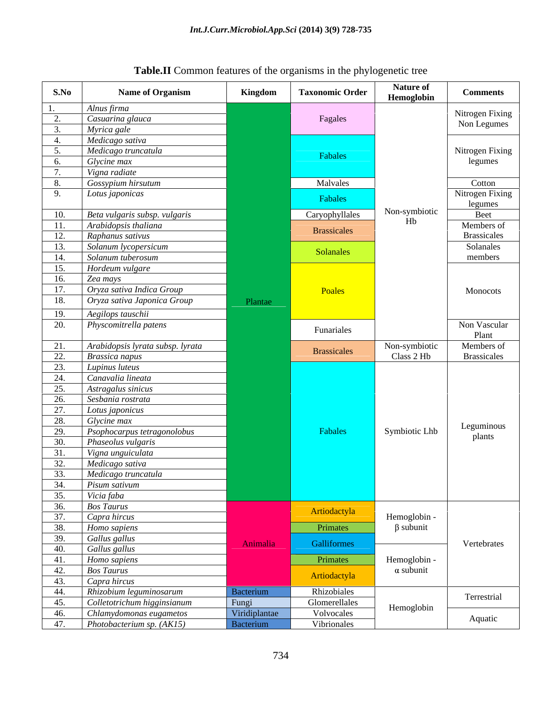| Alnus firma<br>Nitrogen Fixing<br>Casuarina glauca<br>Fagales<br>Non Legumes<br>Myrica gale<br>Medicago sativa<br>Medicago truncatula<br>Nitrogen Fixing<br>Fabales<br>legumes<br>Glycine max<br>Vigna radiate<br>$\mathcal{L}$<br>Gossypium hirsutum<br>Malvales<br>Cotton<br>Nitrogen Fixing<br>Lotus japonicas<br>$\mathbf{Q}$<br>Fabales<br>legumes<br>Non-symbiotic<br>Beta vulgaris subsp. vulgaris<br>Caryophyllales<br>10.<br>Beet<br>Hb<br>Arabidopsis thaliana<br>Members of<br>Brassicales<br><b>Brassicales</b><br>Raphanus sativus<br>Solanum lycopersicum<br>Solanales<br>Solanales<br>Solanum tuberosum<br>members<br>14.<br>Hordeum vulgare<br>Zea mays<br>Oryza sativa Indica Group<br>Poales<br>17.<br>Monocots<br>Oryza sativa Japonica Group<br>Plantae<br>Aegilops tauschii<br>19.<br>Non Vascular<br>Physcomitrella patens<br>Funariales<br>Plant<br>Arabidopsis lyrata subsp. lyrata<br>Members of<br>Non-symbiotic<br>21<br>Brassicales<br>Class 2 Hb<br>Brassicales<br>Brassica napus<br>22<br>Lupinus luteus<br>Canavalia lineata<br>Astragalus sinicus<br>つち<br>Sesbania rostrata<br>26<br>Lotus japonicus<br>Glycine max<br>28<br>Leguminous<br>Symbiotic Lhb<br>Fabales<br>Psophocarpus tetragonolobus<br>29.<br>plants<br>Phaseolus vulgaris<br>30.<br>Vigna unguiculata<br>Medicago sativa<br>32 <sub>1</sub><br>Medicago truncatula<br>33.<br>34.<br>Pisum sativum<br>35.<br>Vicia faba<br><b>Bos Taurus</b><br>36.<br>Artiodactyla<br>37.<br>Capra hircus<br>Hemoglobin -<br>$\beta$ subunit<br>Primates<br>38.<br>Homo sapiens<br>Gallus gallus<br>39.<br>Galliformes<br>Vertebrates<br>Animalia<br>Gallus gallus<br>40.<br>41.<br>Homo sapiens<br>Primates<br>Hemoglobin -<br>$\alpha$ subunit<br>42.<br><b>Bos Taurus</b><br>Artiodactyla<br>43.<br>Capra hircus<br>Rhizobium leguminosarum<br>Rhizobiales<br>Bacterium<br>Terrestrial<br>Fungi<br>Viridiplantae<br>Colletotrichum higginsianum<br>Glomerellales<br>Hemoglobin<br>Volvocales<br>Chlamydomonas eugametos<br>Aquatic<br>Photobacterium sp. $(AK15)$<br>Vibrionales<br>Bacterium | S.No | <b>Name of Organism</b> | Kingdom | <b>Taxonomic Order</b> | <b>Nature of</b><br>Hemoglobin | <b>Comments</b> |
|-----------------------------------------------------------------------------------------------------------------------------------------------------------------------------------------------------------------------------------------------------------------------------------------------------------------------------------------------------------------------------------------------------------------------------------------------------------------------------------------------------------------------------------------------------------------------------------------------------------------------------------------------------------------------------------------------------------------------------------------------------------------------------------------------------------------------------------------------------------------------------------------------------------------------------------------------------------------------------------------------------------------------------------------------------------------------------------------------------------------------------------------------------------------------------------------------------------------------------------------------------------------------------------------------------------------------------------------------------------------------------------------------------------------------------------------------------------------------------------------------------------------------------------------------------------------------------------------------------------------------------------------------------------------------------------------------------------------------------------------------------------------------------------------------------------------------------------------------------------------------------------------------------------------------------------------------------------------------------------------------------------------------------------------------------------------------------------|------|-------------------------|---------|------------------------|--------------------------------|-----------------|
|                                                                                                                                                                                                                                                                                                                                                                                                                                                                                                                                                                                                                                                                                                                                                                                                                                                                                                                                                                                                                                                                                                                                                                                                                                                                                                                                                                                                                                                                                                                                                                                                                                                                                                                                                                                                                                                                                                                                                                                                                                                                                   |      |                         |         |                        |                                |                 |
|                                                                                                                                                                                                                                                                                                                                                                                                                                                                                                                                                                                                                                                                                                                                                                                                                                                                                                                                                                                                                                                                                                                                                                                                                                                                                                                                                                                                                                                                                                                                                                                                                                                                                                                                                                                                                                                                                                                                                                                                                                                                                   |      |                         |         |                        |                                |                 |
|                                                                                                                                                                                                                                                                                                                                                                                                                                                                                                                                                                                                                                                                                                                                                                                                                                                                                                                                                                                                                                                                                                                                                                                                                                                                                                                                                                                                                                                                                                                                                                                                                                                                                                                                                                                                                                                                                                                                                                                                                                                                                   |      |                         |         |                        |                                |                 |
|                                                                                                                                                                                                                                                                                                                                                                                                                                                                                                                                                                                                                                                                                                                                                                                                                                                                                                                                                                                                                                                                                                                                                                                                                                                                                                                                                                                                                                                                                                                                                                                                                                                                                                                                                                                                                                                                                                                                                                                                                                                                                   | 4    |                         |         |                        |                                |                 |
|                                                                                                                                                                                                                                                                                                                                                                                                                                                                                                                                                                                                                                                                                                                                                                                                                                                                                                                                                                                                                                                                                                                                                                                                                                                                                                                                                                                                                                                                                                                                                                                                                                                                                                                                                                                                                                                                                                                                                                                                                                                                                   |      |                         |         |                        |                                |                 |
|                                                                                                                                                                                                                                                                                                                                                                                                                                                                                                                                                                                                                                                                                                                                                                                                                                                                                                                                                                                                                                                                                                                                                                                                                                                                                                                                                                                                                                                                                                                                                                                                                                                                                                                                                                                                                                                                                                                                                                                                                                                                                   | - 6. |                         |         |                        |                                |                 |
|                                                                                                                                                                                                                                                                                                                                                                                                                                                                                                                                                                                                                                                                                                                                                                                                                                                                                                                                                                                                                                                                                                                                                                                                                                                                                                                                                                                                                                                                                                                                                                                                                                                                                                                                                                                                                                                                                                                                                                                                                                                                                   |      |                         |         |                        |                                |                 |
|                                                                                                                                                                                                                                                                                                                                                                                                                                                                                                                                                                                                                                                                                                                                                                                                                                                                                                                                                                                                                                                                                                                                                                                                                                                                                                                                                                                                                                                                                                                                                                                                                                                                                                                                                                                                                                                                                                                                                                                                                                                                                   |      |                         |         |                        |                                |                 |
|                                                                                                                                                                                                                                                                                                                                                                                                                                                                                                                                                                                                                                                                                                                                                                                                                                                                                                                                                                                                                                                                                                                                                                                                                                                                                                                                                                                                                                                                                                                                                                                                                                                                                                                                                                                                                                                                                                                                                                                                                                                                                   |      |                         |         |                        |                                |                 |
|                                                                                                                                                                                                                                                                                                                                                                                                                                                                                                                                                                                                                                                                                                                                                                                                                                                                                                                                                                                                                                                                                                                                                                                                                                                                                                                                                                                                                                                                                                                                                                                                                                                                                                                                                                                                                                                                                                                                                                                                                                                                                   |      |                         |         |                        |                                |                 |
|                                                                                                                                                                                                                                                                                                                                                                                                                                                                                                                                                                                                                                                                                                                                                                                                                                                                                                                                                                                                                                                                                                                                                                                                                                                                                                                                                                                                                                                                                                                                                                                                                                                                                                                                                                                                                                                                                                                                                                                                                                                                                   | -11. |                         |         |                        |                                |                 |
|                                                                                                                                                                                                                                                                                                                                                                                                                                                                                                                                                                                                                                                                                                                                                                                                                                                                                                                                                                                                                                                                                                                                                                                                                                                                                                                                                                                                                                                                                                                                                                                                                                                                                                                                                                                                                                                                                                                                                                                                                                                                                   | 12.  |                         |         |                        |                                |                 |
|                                                                                                                                                                                                                                                                                                                                                                                                                                                                                                                                                                                                                                                                                                                                                                                                                                                                                                                                                                                                                                                                                                                                                                                                                                                                                                                                                                                                                                                                                                                                                                                                                                                                                                                                                                                                                                                                                                                                                                                                                                                                                   | 13.  |                         |         |                        |                                |                 |
|                                                                                                                                                                                                                                                                                                                                                                                                                                                                                                                                                                                                                                                                                                                                                                                                                                                                                                                                                                                                                                                                                                                                                                                                                                                                                                                                                                                                                                                                                                                                                                                                                                                                                                                                                                                                                                                                                                                                                                                                                                                                                   |      |                         |         |                        |                                |                 |
|                                                                                                                                                                                                                                                                                                                                                                                                                                                                                                                                                                                                                                                                                                                                                                                                                                                                                                                                                                                                                                                                                                                                                                                                                                                                                                                                                                                                                                                                                                                                                                                                                                                                                                                                                                                                                                                                                                                                                                                                                                                                                   | 15.  |                         |         |                        |                                |                 |
|                                                                                                                                                                                                                                                                                                                                                                                                                                                                                                                                                                                                                                                                                                                                                                                                                                                                                                                                                                                                                                                                                                                                                                                                                                                                                                                                                                                                                                                                                                                                                                                                                                                                                                                                                                                                                                                                                                                                                                                                                                                                                   | 16.  |                         |         |                        |                                |                 |
|                                                                                                                                                                                                                                                                                                                                                                                                                                                                                                                                                                                                                                                                                                                                                                                                                                                                                                                                                                                                                                                                                                                                                                                                                                                                                                                                                                                                                                                                                                                                                                                                                                                                                                                                                                                                                                                                                                                                                                                                                                                                                   |      |                         |         |                        |                                |                 |
|                                                                                                                                                                                                                                                                                                                                                                                                                                                                                                                                                                                                                                                                                                                                                                                                                                                                                                                                                                                                                                                                                                                                                                                                                                                                                                                                                                                                                                                                                                                                                                                                                                                                                                                                                                                                                                                                                                                                                                                                                                                                                   | 18.  |                         |         |                        |                                |                 |
|                                                                                                                                                                                                                                                                                                                                                                                                                                                                                                                                                                                                                                                                                                                                                                                                                                                                                                                                                                                                                                                                                                                                                                                                                                                                                                                                                                                                                                                                                                                                                                                                                                                                                                                                                                                                                                                                                                                                                                                                                                                                                   |      |                         |         |                        |                                |                 |
|                                                                                                                                                                                                                                                                                                                                                                                                                                                                                                                                                                                                                                                                                                                                                                                                                                                                                                                                                                                                                                                                                                                                                                                                                                                                                                                                                                                                                                                                                                                                                                                                                                                                                                                                                                                                                                                                                                                                                                                                                                                                                   | 20.  |                         |         |                        |                                |                 |
|                                                                                                                                                                                                                                                                                                                                                                                                                                                                                                                                                                                                                                                                                                                                                                                                                                                                                                                                                                                                                                                                                                                                                                                                                                                                                                                                                                                                                                                                                                                                                                                                                                                                                                                                                                                                                                                                                                                                                                                                                                                                                   |      |                         |         |                        |                                |                 |
|                                                                                                                                                                                                                                                                                                                                                                                                                                                                                                                                                                                                                                                                                                                                                                                                                                                                                                                                                                                                                                                                                                                                                                                                                                                                                                                                                                                                                                                                                                                                                                                                                                                                                                                                                                                                                                                                                                                                                                                                                                                                                   |      |                         |         |                        |                                |                 |
|                                                                                                                                                                                                                                                                                                                                                                                                                                                                                                                                                                                                                                                                                                                                                                                                                                                                                                                                                                                                                                                                                                                                                                                                                                                                                                                                                                                                                                                                                                                                                                                                                                                                                                                                                                                                                                                                                                                                                                                                                                                                                   | 23   |                         |         |                        |                                |                 |
|                                                                                                                                                                                                                                                                                                                                                                                                                                                                                                                                                                                                                                                                                                                                                                                                                                                                                                                                                                                                                                                                                                                                                                                                                                                                                                                                                                                                                                                                                                                                                                                                                                                                                                                                                                                                                                                                                                                                                                                                                                                                                   | 24   |                         |         |                        |                                |                 |
|                                                                                                                                                                                                                                                                                                                                                                                                                                                                                                                                                                                                                                                                                                                                                                                                                                                                                                                                                                                                                                                                                                                                                                                                                                                                                                                                                                                                                                                                                                                                                                                                                                                                                                                                                                                                                                                                                                                                                                                                                                                                                   |      |                         |         |                        |                                |                 |
|                                                                                                                                                                                                                                                                                                                                                                                                                                                                                                                                                                                                                                                                                                                                                                                                                                                                                                                                                                                                                                                                                                                                                                                                                                                                                                                                                                                                                                                                                                                                                                                                                                                                                                                                                                                                                                                                                                                                                                                                                                                                                   |      |                         |         |                        |                                |                 |
|                                                                                                                                                                                                                                                                                                                                                                                                                                                                                                                                                                                                                                                                                                                                                                                                                                                                                                                                                                                                                                                                                                                                                                                                                                                                                                                                                                                                                                                                                                                                                                                                                                                                                                                                                                                                                                                                                                                                                                                                                                                                                   | 27   |                         |         |                        |                                |                 |
|                                                                                                                                                                                                                                                                                                                                                                                                                                                                                                                                                                                                                                                                                                                                                                                                                                                                                                                                                                                                                                                                                                                                                                                                                                                                                                                                                                                                                                                                                                                                                                                                                                                                                                                                                                                                                                                                                                                                                                                                                                                                                   |      |                         |         |                        |                                |                 |
|                                                                                                                                                                                                                                                                                                                                                                                                                                                                                                                                                                                                                                                                                                                                                                                                                                                                                                                                                                                                                                                                                                                                                                                                                                                                                                                                                                                                                                                                                                                                                                                                                                                                                                                                                                                                                                                                                                                                                                                                                                                                                   |      |                         |         |                        |                                |                 |
|                                                                                                                                                                                                                                                                                                                                                                                                                                                                                                                                                                                                                                                                                                                                                                                                                                                                                                                                                                                                                                                                                                                                                                                                                                                                                                                                                                                                                                                                                                                                                                                                                                                                                                                                                                                                                                                                                                                                                                                                                                                                                   |      |                         |         |                        |                                |                 |
|                                                                                                                                                                                                                                                                                                                                                                                                                                                                                                                                                                                                                                                                                                                                                                                                                                                                                                                                                                                                                                                                                                                                                                                                                                                                                                                                                                                                                                                                                                                                                                                                                                                                                                                                                                                                                                                                                                                                                                                                                                                                                   |      |                         |         |                        |                                |                 |
|                                                                                                                                                                                                                                                                                                                                                                                                                                                                                                                                                                                                                                                                                                                                                                                                                                                                                                                                                                                                                                                                                                                                                                                                                                                                                                                                                                                                                                                                                                                                                                                                                                                                                                                                                                                                                                                                                                                                                                                                                                                                                   |      |                         |         |                        |                                |                 |
|                                                                                                                                                                                                                                                                                                                                                                                                                                                                                                                                                                                                                                                                                                                                                                                                                                                                                                                                                                                                                                                                                                                                                                                                                                                                                                                                                                                                                                                                                                                                                                                                                                                                                                                                                                                                                                                                                                                                                                                                                                                                                   |      |                         |         |                        |                                |                 |
|                                                                                                                                                                                                                                                                                                                                                                                                                                                                                                                                                                                                                                                                                                                                                                                                                                                                                                                                                                                                                                                                                                                                                                                                                                                                                                                                                                                                                                                                                                                                                                                                                                                                                                                                                                                                                                                                                                                                                                                                                                                                                   |      |                         |         |                        |                                |                 |
|                                                                                                                                                                                                                                                                                                                                                                                                                                                                                                                                                                                                                                                                                                                                                                                                                                                                                                                                                                                                                                                                                                                                                                                                                                                                                                                                                                                                                                                                                                                                                                                                                                                                                                                                                                                                                                                                                                                                                                                                                                                                                   |      |                         |         |                        |                                |                 |
|                                                                                                                                                                                                                                                                                                                                                                                                                                                                                                                                                                                                                                                                                                                                                                                                                                                                                                                                                                                                                                                                                                                                                                                                                                                                                                                                                                                                                                                                                                                                                                                                                                                                                                                                                                                                                                                                                                                                                                                                                                                                                   |      |                         |         |                        |                                |                 |
|                                                                                                                                                                                                                                                                                                                                                                                                                                                                                                                                                                                                                                                                                                                                                                                                                                                                                                                                                                                                                                                                                                                                                                                                                                                                                                                                                                                                                                                                                                                                                                                                                                                                                                                                                                                                                                                                                                                                                                                                                                                                                   |      |                         |         |                        |                                |                 |
|                                                                                                                                                                                                                                                                                                                                                                                                                                                                                                                                                                                                                                                                                                                                                                                                                                                                                                                                                                                                                                                                                                                                                                                                                                                                                                                                                                                                                                                                                                                                                                                                                                                                                                                                                                                                                                                                                                                                                                                                                                                                                   |      |                         |         |                        |                                |                 |
|                                                                                                                                                                                                                                                                                                                                                                                                                                                                                                                                                                                                                                                                                                                                                                                                                                                                                                                                                                                                                                                                                                                                                                                                                                                                                                                                                                                                                                                                                                                                                                                                                                                                                                                                                                                                                                                                                                                                                                                                                                                                                   |      |                         |         |                        |                                |                 |
|                                                                                                                                                                                                                                                                                                                                                                                                                                                                                                                                                                                                                                                                                                                                                                                                                                                                                                                                                                                                                                                                                                                                                                                                                                                                                                                                                                                                                                                                                                                                                                                                                                                                                                                                                                                                                                                                                                                                                                                                                                                                                   |      |                         |         |                        |                                |                 |
|                                                                                                                                                                                                                                                                                                                                                                                                                                                                                                                                                                                                                                                                                                                                                                                                                                                                                                                                                                                                                                                                                                                                                                                                                                                                                                                                                                                                                                                                                                                                                                                                                                                                                                                                                                                                                                                                                                                                                                                                                                                                                   |      |                         |         |                        |                                |                 |
|                                                                                                                                                                                                                                                                                                                                                                                                                                                                                                                                                                                                                                                                                                                                                                                                                                                                                                                                                                                                                                                                                                                                                                                                                                                                                                                                                                                                                                                                                                                                                                                                                                                                                                                                                                                                                                                                                                                                                                                                                                                                                   |      |                         |         |                        |                                |                 |
|                                                                                                                                                                                                                                                                                                                                                                                                                                                                                                                                                                                                                                                                                                                                                                                                                                                                                                                                                                                                                                                                                                                                                                                                                                                                                                                                                                                                                                                                                                                                                                                                                                                                                                                                                                                                                                                                                                                                                                                                                                                                                   | 44.  |                         |         |                        |                                |                 |
|                                                                                                                                                                                                                                                                                                                                                                                                                                                                                                                                                                                                                                                                                                                                                                                                                                                                                                                                                                                                                                                                                                                                                                                                                                                                                                                                                                                                                                                                                                                                                                                                                                                                                                                                                                                                                                                                                                                                                                                                                                                                                   | 45.  |                         |         |                        |                                |                 |
|                                                                                                                                                                                                                                                                                                                                                                                                                                                                                                                                                                                                                                                                                                                                                                                                                                                                                                                                                                                                                                                                                                                                                                                                                                                                                                                                                                                                                                                                                                                                                                                                                                                                                                                                                                                                                                                                                                                                                                                                                                                                                   | 46.  |                         |         |                        |                                |                 |
|                                                                                                                                                                                                                                                                                                                                                                                                                                                                                                                                                                                                                                                                                                                                                                                                                                                                                                                                                                                                                                                                                                                                                                                                                                                                                                                                                                                                                                                                                                                                                                                                                                                                                                                                                                                                                                                                                                                                                                                                                                                                                   | 47.  |                         |         |                        |                                |                 |

# **Table.II** Common features of the organisms in the phylogenetic tree